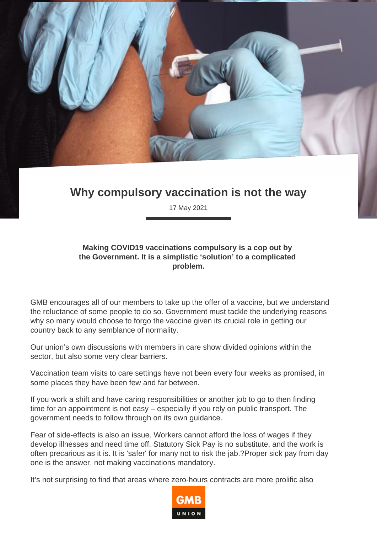

## **Why compulsory vaccination is not the way**

17 May 2021

## **Making COVID19 vaccinations compulsory is a cop out by the Government. It is a simplistic 'solution' to a complicated problem.**

GMB encourages all of our members to take up the offer of a vaccine, but we understand the reluctance of some people to do so. Government must tackle the underlying reasons why so many would choose to forgo the vaccine given its crucial role in getting our country back to any semblance of normality.

Our union's own discussions with members in care show divided opinions within the sector, but also some very clear barriers.

Vaccination team visits to care settings have not been every four weeks as promised, in some places they have been few and far between.

If you work a shift and have caring responsibilities or another job to go to then finding time for an appointment is not easy – especially if you rely on public transport. The government needs to follow through on its own guidance.

Fear of side-effects is also an issue. Workers cannot afford the loss of wages if they develop illnesses and need time off. Statutory Sick Pay is no substitute, and the work is often precarious as it is. It is 'safer' for many not to risk the jab.?Proper sick pay from day one is the answer, not making vaccinations mandatory.

It's not surprising to find that areas where zero-hours contracts are more prolific also

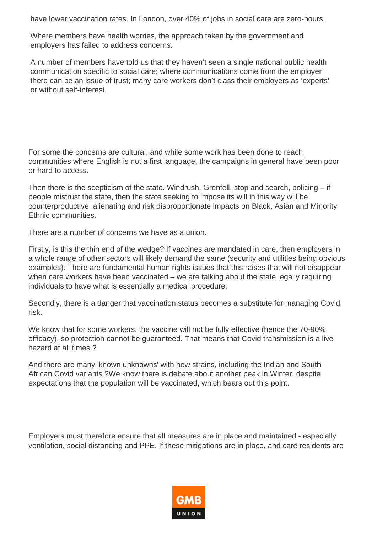have lower vaccination rates. In London, over 40% of jobs in social care are zero-hours.

Where members have health worries, the approach taken by the government and employers has failed to address concerns.

A number of members have told us that they haven't seen a single national public health communication specific to social care; where communications come from the employer there can be an issue of trust; many care workers don't class their employers as 'experts' or without self-interest.

For some the concerns are cultural, and while some work has been done to reach communities where English is not a first language, the campaigns in general have been poor or hard to access.

Then there is the scepticism of the state. Windrush, Grenfell, stop and search, policing – if people mistrust the state, then the state seeking to impose its will in this way will be counterproductive, alienating and risk disproportionate impacts on Black, Asian and Minority Ethnic communities.

There are a number of concerns we have as a union.

Firstly, is this the thin end of the wedge? If vaccines are mandated in care, then employers in a whole range of other sectors will likely demand the same (security and utilities being obvious examples). There are fundamental human rights issues that this raises that will not disappear when care workers have been vaccinated – we are talking about the state legally requiring individuals to have what is essentially a medical procedure.

Secondly, there is a danger that vaccination status becomes a substitute for managing Covid risk.

We know that for some workers, the vaccine will not be fully effective (hence the 70-90% efficacy), so protection cannot be guaranteed. That means that Covid transmission is a live hazard at all times.?

And there are many 'known unknowns' with new strains, including the Indian and South African Covid variants.?We know there is debate about another peak in Winter, despite expectations that the population will be vaccinated, which bears out this point.

Employers must therefore ensure that all measures are in place and maintained - especially ventilation, social distancing and PPE. If these mitigations are in place, and care residents are